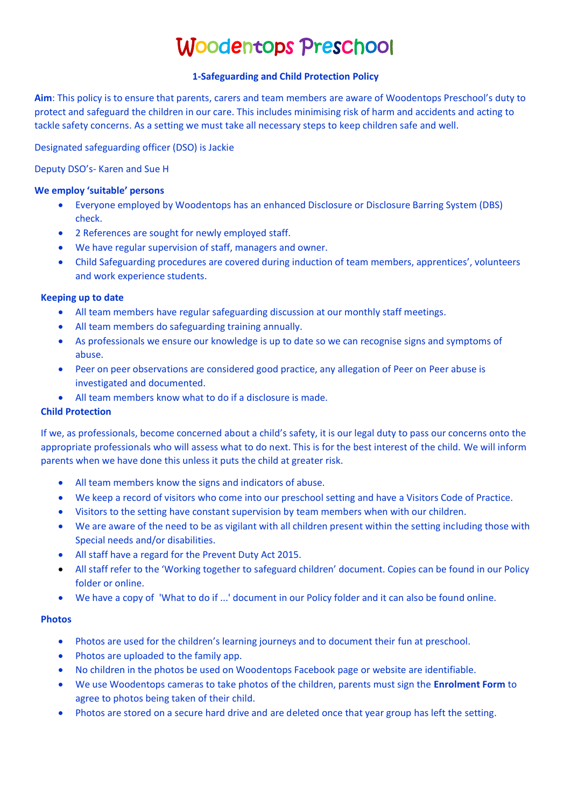# Woodentops Preschool

## **1-Safeguarding and Child Protection Policy**

**Aim**: This policy is to ensure that parents, carers and team members are aware of Woodentops Preschool's duty to protect and safeguard the children in our care. This includes minimising risk of harm and accidents and acting to tackle safety concerns. As a setting we must take all necessary steps to keep children safe and well.

Designated safeguarding officer (DSO) is Jackie

Deputy DSO's- Karen and Sue H

## **We employ 'suitable' persons**

- Everyone employed by Woodentops has an enhanced Disclosure or Disclosure Barring System (DBS) check.
- 2 References are sought for newly employed staff.
- We have regular supervision of staff, managers and owner.
- Child Safeguarding procedures are covered during induction of team members, apprentices', volunteers and work experience students.

# **Keeping up to date**

- All team members have regular safeguarding discussion at our monthly staff meetings.
- All team members do safeguarding training annually.
- As professionals we ensure our knowledge is up to date so we can recognise signs and symptoms of abuse.
- Peer on peer observations are considered good practice, any allegation of Peer on Peer abuse is investigated and documented.
- All team members know what to do if a disclosure is made.

# **Child Protection**

If we, as professionals, become concerned about a child's safety, it is our legal duty to pass our concerns onto the appropriate professionals who will assess what to do next. This is for the best interest of the child. We will inform parents when we have done this unless it puts the child at greater risk.

- All team members know the signs and indicators of abuse.
- We keep a record of visitors who come into our preschool setting and have a Visitors Code of Practice.
- Visitors to the setting have constant supervision by team members when with our children.
- We are aware of the need to be as vigilant with all children present within the setting including those with Special needs and/or disabilities.
- All staff have a regard for the Prevent Duty Act 2015.
- All staff refer to the 'Working together to safeguard children' document. Copies can be found in our Policy folder or online.
- We have a copy of 'What to do if ...' document in our Policy folder and it can also be found online.

## **Photos**

- Photos are used for the children's learning journeys and to document their fun at preschool.
- Photos are uploaded to the family app.
- No children in the photos be used on Woodentops Facebook page or website are identifiable.
- We use Woodentops cameras to take photos of the children, parents must sign the **Enrolment Form** to agree to photos being taken of their child.
- Photos are stored on a secure hard drive and are deleted once that year group has left the setting.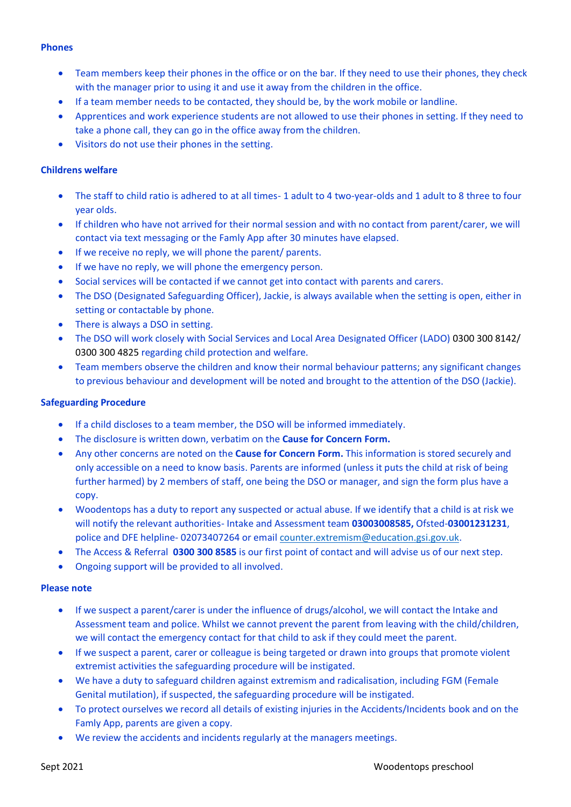## **Phones**

- Team members keep their phones in the office or on the bar. If they need to use their phones, they check with the manager prior to using it and use it away from the children in the office.
- If a team member needs to be contacted, they should be, by the work mobile or landline.
- Apprentices and work experience students are not allowed to use their phones in setting. If they need to take a phone call, they can go in the office away from the children.
- Visitors do not use their phones in the setting.

# **Childrens welfare**

- The staff to child ratio is adhered to at all times- 1 adult to 4 two-year-olds and 1 adult to 8 three to four year olds.
- If children who have not arrived for their normal session and with no contact from parent/carer, we will contact via text messaging or the Famly App after 30 minutes have elapsed.
- If we receive no reply, we will phone the parent/ parents.
- If we have no reply, we will phone the emergency person.
- Social services will be contacted if we cannot get into contact with parents and carers.
- The DSO (Designated Safeguarding Officer), Jackie, is always available when the setting is open, either in setting or contactable by phone.
- There is always a DSO in setting.
- The DSO will work closely with Social Services and Local Area Designated Officer (LADO) 0300 300 8142/ 0300 300 4825 regarding child protection and welfare.
- Team members observe the children and know their normal behaviour patterns; any significant changes to previous behaviour and development will be noted and brought to the attention of the DSO (Jackie).

## **Safeguarding Procedure**

- If a child discloses to a team member, the DSO will be informed immediately.
- The disclosure is written down, verbatim on the **Cause for Concern Form.**
- Any other concerns are noted on the **Cause for Concern Form.** This information is stored securely and only accessible on a need to know basis. Parents are informed (unless it puts the child at risk of being further harmed) by 2 members of staff, one being the DSO or manager, and sign the form plus have a copy.
- Woodentops has a duty to report any suspected or actual abuse. If we identify that a child is at risk we will notify the relevant authorities- Intake and Assessment team **03003008585,** Ofsted-**03001231231**, police and DFE helpline- 02073407264 or emai[l counter.extremism@education.gsi.gov.uk.](mailto:counter.extremism@education.gsi.gov.uk)
- The Access & Referral **0300 300 8585** is our first point of contact and will advise us of our next step.
- Ongoing support will be provided to all involved.

## **Please note**

- If we suspect a parent/carer is under the influence of drugs/alcohol, we will contact the Intake and Assessment team and police. Whilst we cannot prevent the parent from leaving with the child/children, we will contact the emergency contact for that child to ask if they could meet the parent.
- If we suspect a parent, carer or colleague is being targeted or drawn into groups that promote violent extremist activities the safeguarding procedure will be instigated.
- We have a duty to safeguard children against extremism and radicalisation, including FGM (Female Genital mutilation), if suspected, the safeguarding procedure will be instigated.
- To protect ourselves we record all details of existing injuries in the Accidents/Incidents book and on the Famly App, parents are given a copy.
- We review the accidents and incidents regularly at the managers meetings.